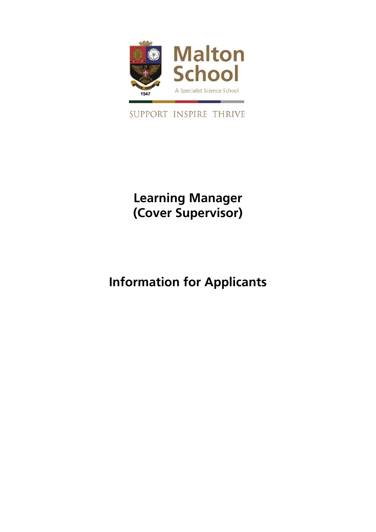

SUPPORT INSPIRE THRIVE

## **Learning Manager (Cover Supervisor)**

# **Information for Applicants**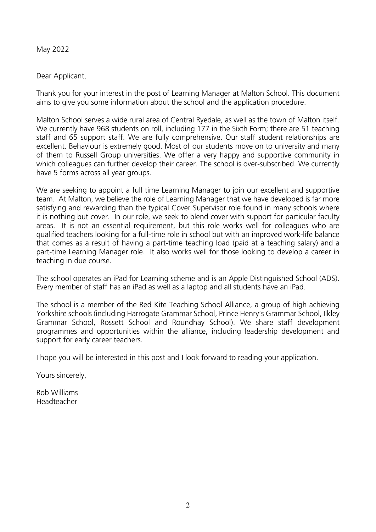#### May 2022

#### Dear Applicant,

Thank you for your interest in the post of Learning Manager at Malton School. This document aims to give you some information about the school and the application procedure.

Malton School serves a wide rural area of Central Ryedale, as well as the town of Malton itself. We currently have 968 students on roll, including 177 in the Sixth Form; there are 51 teaching staff and 65 support staff. We are fully comprehensive. Our staff student relationships are excellent. Behaviour is extremely good. Most of our students move on to university and many of them to Russell Group universities. We offer a very happy and supportive community in which colleagues can further develop their career. The school is over-subscribed. We currently have 5 forms across all year groups.

We are seeking to appoint a full time Learning Manager to join our excellent and supportive team. At Malton, we believe the role of Learning Manager that we have developed is far more satisfying and rewarding than the typical Cover Supervisor role found in many schools where it is nothing but cover. In our role, we seek to blend cover with support for particular faculty areas. It is not an essential requirement, but this role works well for colleagues who are qualified teachers looking for a full-time role in school but with an improved work-life balance that comes as a result of having a part-time teaching load (paid at a teaching salary) and a part-time Learning Manager role. It also works well for those looking to develop a career in teaching in due course.

The school operates an iPad for Learning scheme and is an Apple Distinguished School (ADS). Every member of staff has an iPad as well as a laptop and all students have an iPad.

The school is a member of the Red Kite Teaching School Alliance, a group of high achieving Yorkshire schools (including Harrogate Grammar School, Prince Henry's Grammar School, Ilkley Grammar School, Rossett School and Roundhay School). We share staff development programmes and opportunities within the alliance, including leadership development and support for early career teachers.

I hope you will be interested in this post and I look forward to reading your application.

Yours sincerely,

Rob Williams Headteacher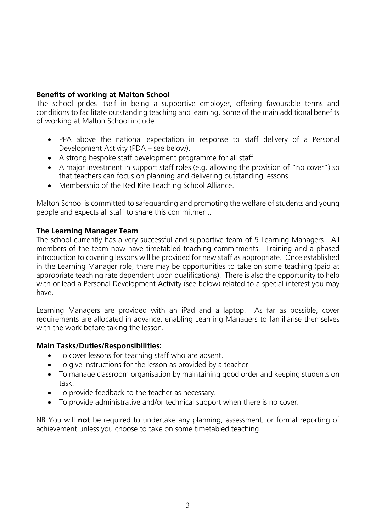#### **Benefits of working at Malton School**

The school prides itself in being a supportive employer, offering favourable terms and conditions to facilitate outstanding teaching and learning. Some of the main additional benefits of working at Malton School include:

- PPA above the national expectation in response to staff delivery of a Personal Development Activity (PDA – see below).
- A strong bespoke staff development programme for all staff.
- A major investment in support staff roles (e.g. allowing the provision of "no cover") so that teachers can focus on planning and delivering outstanding lessons.
- Membership of the Red Kite Teaching School Alliance.

Malton School is committed to safeguarding and promoting the welfare of students and young people and expects all staff to share this commitment.

#### **The Learning Manager Team**

The school currently has a very successful and supportive team of 5 Learning Managers. All members of the team now have timetabled teaching commitments. Training and a phased introduction to covering lessons will be provided for new staff as appropriate. Once established in the Learning Manager role, there may be opportunities to take on some teaching (paid at appropriate teaching rate dependent upon qualifications). There is also the opportunity to help with or lead a Personal Development Activity (see below) related to a special interest you may have.

Learning Managers are provided with an iPad and a laptop. As far as possible, cover requirements are allocated in advance, enabling Learning Managers to familiarise themselves with the work before taking the lesson.

#### **Main Tasks/Duties/Responsibilities:**

- To cover lessons for teaching staff who are absent.
- To give instructions for the lesson as provided by a teacher.
- To manage classroom organisation by maintaining good order and keeping students on task.
- To provide feedback to the teacher as necessary.
- To provide administrative and/or technical support when there is no cover.

NB You will **not** be required to undertake any planning, assessment, or formal reporting of achievement unless you choose to take on some timetabled teaching.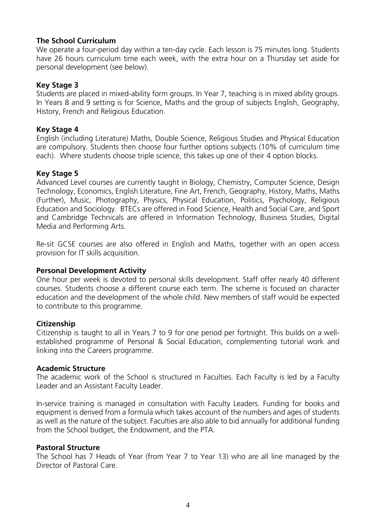#### **The School Curriculum**

We operate a four-period day within a ten-day cycle. Each lesson is 75 minutes long. Students have 26 hours curriculum time each week, with the extra hour on a Thursday set aside for personal development (see below).

#### **Key Stage 3**

Students are placed in mixed-ability form groups. In Year 7, teaching is in mixed ability groups. In Years 8 and 9 setting is for Science, Maths and the group of subjects English, Geography, History, French and Religious Education.

#### **Key Stage 4**

English (including Literature) Maths, Double Science, Religious Studies and Physical Education are compulsory. Students then choose four further options subjects (10% of curriculum time each). Where students choose triple science, this takes up one of their 4 option blocks.

#### **Key Stage 5**

Advanced Level courses are currently taught in Biology, Chemistry, Computer Science, Design Technology, Economics, English Literature, Fine Art, French, Geography, History, Maths, Maths (Further), Music, Photography, Physics, Physical Education, Politics, Psychology, Religious Education and Sociology. BTECs are offered in Food Science, Health and Social Care, and Sport and Cambridge Technicals are offered in Information Technology, Business Studies, Digital Media and Performing Arts.

Re-sit GCSE courses are also offered in English and Maths, together with an open access provision for IT skills acquisition.

#### **Personal Development Activity**

One hour per week is devoted to personal skills development. Staff offer nearly 40 different courses. Students choose a different course each term. The scheme is focused on character education and the development of the whole child. New members of staff would be expected to contribute to this programme.

#### **Citizenship**

Citizenship is taught to all in Years 7 to 9 for one period per fortnight. This builds on a wellestablished programme of Personal & Social Education, complementing tutorial work and linking into the Careers programme.

#### **Academic Structure**

The academic work of the School is structured in Faculties. Each Faculty is led by a Faculty Leader and an Assistant Faculty Leader.

In-service training is managed in consultation with Faculty Leaders. Funding for books and equipment is derived from a formula which takes account of the numbers and ages of students as well as the nature of the subject. Faculties are also able to bid annually for additional funding from the School budget, the Endowment, and the PTA.

#### **Pastoral Structure**

The School has 7 Heads of Year (from Year 7 to Year 13) who are all line managed by the Director of Pastoral Care.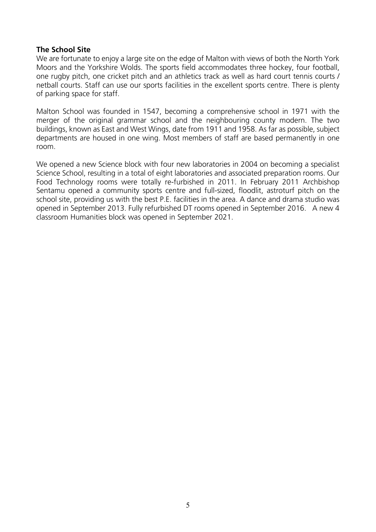#### **The School Site**

We are fortunate to enjoy a large site on the edge of Malton with views of both the North York Moors and the Yorkshire Wolds. The sports field accommodates three hockey, four football, one rugby pitch, one cricket pitch and an athletics track as well as hard court tennis courts / netball courts. Staff can use our sports facilities in the excellent sports centre. There is plenty of parking space for staff.

Malton School was founded in 1547, becoming a comprehensive school in 1971 with the merger of the original grammar school and the neighbouring county modern. The two buildings, known as East and West Wings, date from 1911 and 1958. As far as possible, subject departments are housed in one wing. Most members of staff are based permanently in one room.

We opened a new Science block with four new laboratories in 2004 on becoming a specialist Science School, resulting in a total of eight laboratories and associated preparation rooms. Our Food Technology rooms were totally re-furbished in 2011. In February 2011 Archbishop Sentamu opened a community sports centre and full-sized, floodlit, astroturf pitch on the school site, providing us with the best P.E. facilities in the area. A dance and drama studio was opened in September 2013. Fully refurbished DT rooms opened in September 2016. A new 4 classroom Humanities block was opened in September 2021.